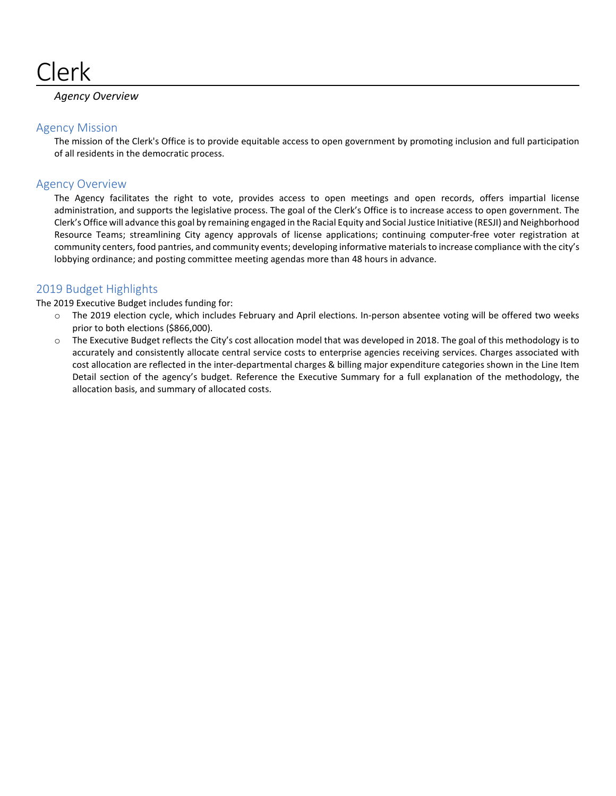

# *Agency Overview*

# Agency Mission

The mission of the Clerk's Office is to provide equitable access to open government by promoting inclusion and full participation of all residents in the democratic process.

# Agency Overview

The Agency facilitates the right to vote, provides access to open meetings and open records, offers impartial license administration, and supports the legislative process. The goal of the Clerk's Office is to increase access to open government. The Clerk's Office will advance this goal by remaining engaged in the Racial Equity and Social Justice Initiative (RESJI) and Neighborhood Resource Teams; streamlining City agency approvals of license applications; continuing computer-free voter registration at community centers, food pantries, and community events; developing informative materials to increase compliance with the city's lobbying ordinance; and posting committee meeting agendas more than 48 hours in advance.

# 2019 Budget Highlights

The 2019 Executive Budget includes funding for:

- o The 2019 election cycle, which includes February and April elections. In-person absentee voting will be offered two weeks prior to both elections (\$866,000).
- o The Executive Budget reflects the City's cost allocation model that was developed in 2018. The goal of this methodology is to accurately and consistently allocate central service costs to enterprise agencies receiving services. Charges associated with cost allocation are reflected in the inter-departmental charges & billing major expenditure categories shown in the Line Item Detail section of the agency's budget. Reference the Executive Summary for a full explanation of the methodology, the allocation basis, and summary of allocated costs.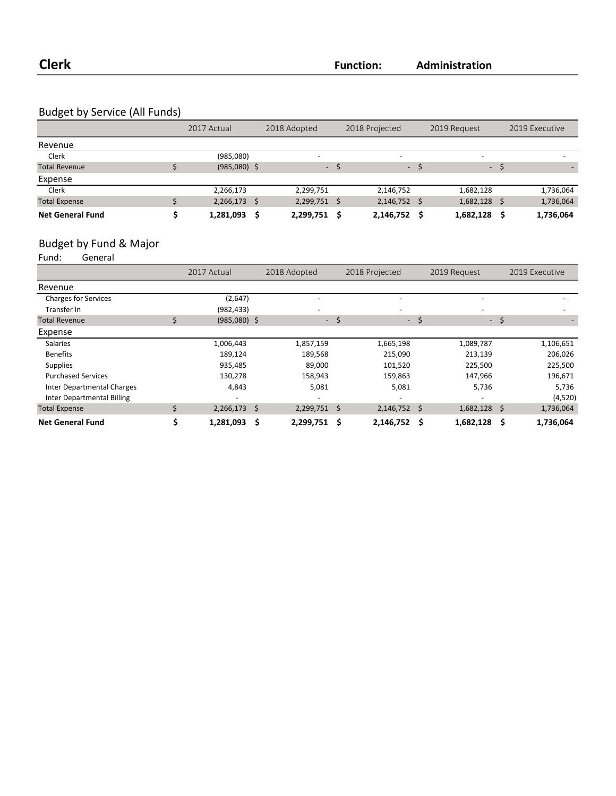# Budget by Service (All Funds)

|                         | 2017 Actual    |    | 2018 Adopted |      | 2018 Projected           |       | 2019 Request             |      | 2019 Executive |
|-------------------------|----------------|----|--------------|------|--------------------------|-------|--------------------------|------|----------------|
| Revenue                 |                |    |              |      |                          |       |                          |      |                |
| Clerk                   | (985,080)      |    | -            |      | $\overline{\phantom{a}}$ |       | $\overline{\phantom{0}}$ |      |                |
| <b>Total Revenue</b>    | $(985,080)$ \$ |    | $\sim$       |      |                          | $- S$ |                          | $-5$ |                |
| Expense                 |                |    |              |      |                          |       |                          |      |                |
| Clerk                   | 2,266,173      |    | 2,299,751    |      | 2,146,752                |       | 1,682,128                |      | 1,736,064      |
| <b>Total Expense</b>    | 2,266,173      | -Ŝ | 2,299,751    | - \$ | 2,146,752 \$             |       | 1,682,128                |      | 1,736,064      |
| <b>Net General Fund</b> | 1,281,093      | Ś  | 2,299,751    | - \$ | 2,146,752                |       | 1,682,128                |      | 1,736,064      |

# Budget by Fund & Major<br>Fund: General

General

|                                   |   | 2017 Actual    |   | 2018 Adopted   |      | 2018 Projected           |        | 2019 Request   |   | 2019 Executive |
|-----------------------------------|---|----------------|---|----------------|------|--------------------------|--------|----------------|---|----------------|
| Revenue                           |   |                |   |                |      |                          |        |                |   |                |
| <b>Charges for Services</b>       |   | (2,647)        |   |                |      | $\overline{\phantom{m}}$ |        |                |   |                |
| Transfer In                       |   | (982, 433)     |   |                |      |                          |        |                |   |                |
| <b>Total Revenue</b>              | Ś | $(985,080)$ \$ |   | $\sim$         | S.   |                          | $-$ \$ | - \$           |   |                |
| Expense                           |   |                |   |                |      |                          |        |                |   |                |
| <b>Salaries</b>                   |   | 1,006,443      |   | 1,857,159      |      | 1,665,198                |        | 1,089,787      |   | 1,106,651      |
| <b>Benefits</b>                   |   | 189,124        |   | 189,568        |      | 215,090                  |        | 213,139        |   | 206,026        |
| <b>Supplies</b>                   |   | 935,485        |   | 89,000         |      | 101,520                  |        | 225,500        |   | 225,500        |
| <b>Purchased Services</b>         |   | 130,278        |   | 158,943        |      | 159,863                  |        | 147,966        |   | 196,671        |
| Inter Departmental Charges        |   | 4,843          |   | 5,081          |      | 5,081                    |        | 5,736          |   | 5,736          |
| <b>Inter Departmental Billing</b> |   |                |   |                |      | $\overline{\phantom{0}}$ |        |                |   | (4,520)        |
| <b>Total Expense</b>              |   | $2,266,173$ \$ |   | $2,299,751$ \$ |      | $2,146,752$ \$           |        | $1,682,128$ \$ |   | 1,736,064      |
| <b>Net General Fund</b>           |   | 1,281,093      | S | 2,299,751      | - \$ | 2,146,752                | \$     | 1,682,128      | Ŝ | 1,736,064      |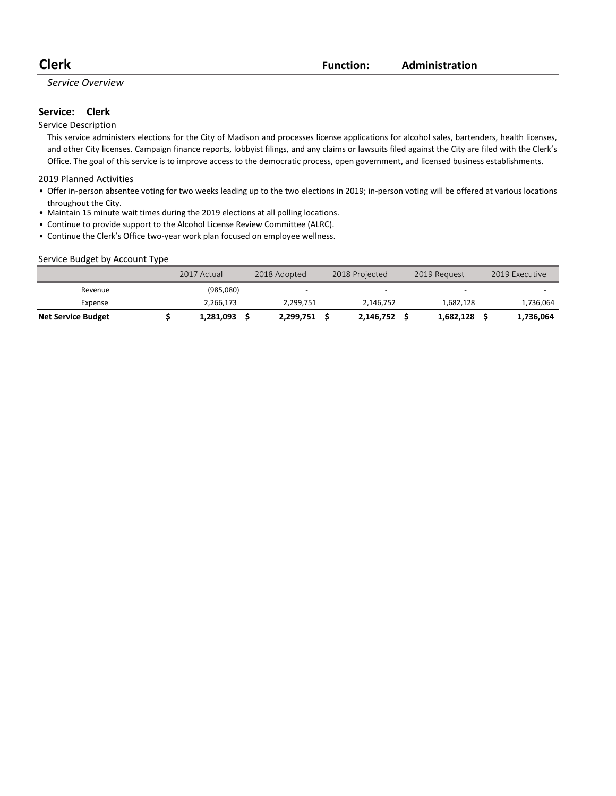**Clerk Function: Administration**

### *Service Overview*

### Service: Clerk

#### Service Description

This service administers elections for the City of Madison and processes license applications for alcohol sales, bartenders, health licenses, and other City licenses. Campaign finance reports, lobbyist filings, and any claims or lawsuits filed against the City are filed with the Clerk's Office. The goal of this service is to improve access to the democratic process, open government, and licensed business establishments.

#### 2019 Planned Activities

- Offer in-person absentee voting for two weeks leading up to the two elections in 2019; in-person voting will be offered at various locations throughout the City.
- Maintain 15 minute wait times during the 2019 elections at all polling locations.
- Continue to provide support to the Alcohol License Review Committee (ALRC).
- Continue the Clerk's Office two-year work plan focused on employee wellness.

#### Service Budget by Account Type

|                           | 2017 Actual | 2018 Adopted | 2018 Projected | 2019 Request             | 2019 Executive |
|---------------------------|-------------|--------------|----------------|--------------------------|----------------|
| Revenue                   | (985,080)   | -            |                | $\overline{\phantom{0}}$ |                |
| Expense                   | 2,266,173   | 2.299.751    | 2.146.752      | 1.682.128                | 1,736,064      |
| <b>Net Service Budget</b> | 1,281,093   | 2.299.751    | 2.146.752      | 1,682,128                | 1,736,064      |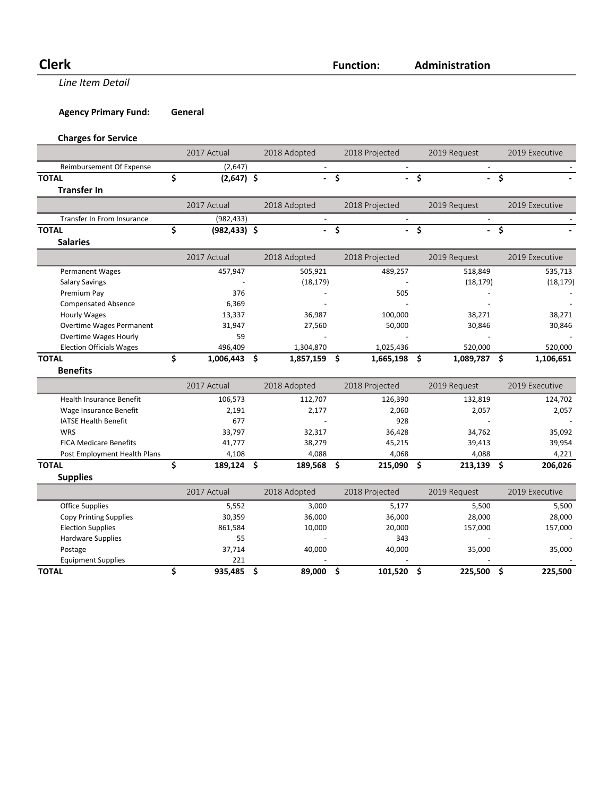**Line Item Detail** 

**Agency Primary Fund: General** 

# **Charges for Service**

|                                 | 2017 Actual           |    | 2018 Adopted |                     | 2018 Projected |                                     | 2019 Request |      | 2019 Executive |
|---------------------------------|-----------------------|----|--------------|---------------------|----------------|-------------------------------------|--------------|------|----------------|
| Reimbursement Of Expense        | (2,647)               |    |              |                     |                |                                     |              |      |                |
| <b>TOTAL</b>                    | \$<br>$(2,647)$ \$    |    | $\mathbf{r}$ | \$                  |                | $-5$                                |              | - \$ |                |
| <b>Transfer In</b>              |                       |    |              |                     |                |                                     |              |      |                |
|                                 | 2017 Actual           |    | 2018 Adopted |                     | 2018 Projected |                                     | 2019 Request |      | 2019 Executive |
| Transfer In From Insurance      | (982, 433)            |    |              |                     |                |                                     |              |      |                |
| <b>TOTAL</b>                    | \$<br>$(982, 433)$ \$ |    | ÷.           | \$                  | a.             | $\overline{\boldsymbol{\varsigma}}$ |              | - \$ |                |
| <b>Salaries</b>                 |                       |    |              |                     |                |                                     |              |      |                |
|                                 | 2017 Actual           |    | 2018 Adopted |                     | 2018 Projected |                                     | 2019 Request |      | 2019 Executive |
| <b>Permanent Wages</b>          | 457,947               |    | 505,921      |                     | 489,257        |                                     | 518,849      |      | 535,713        |
| <b>Salary Savings</b>           |                       |    | (18, 179)    |                     |                |                                     | (18, 179)    |      | (18, 179)      |
| Premium Pay                     | 376                   |    |              |                     | 505            |                                     |              |      |                |
| <b>Compensated Absence</b>      | 6,369                 |    |              |                     |                |                                     |              |      |                |
| <b>Hourly Wages</b>             | 13,337                |    | 36,987       |                     | 100,000        |                                     | 38,271       |      | 38,271         |
| Overtime Wages Permanent        | 31,947                |    | 27,560       |                     | 50,000         |                                     | 30,846       |      | 30,846         |
| <b>Overtime Wages Hourly</b>    | 59                    |    |              |                     |                |                                     |              |      |                |
| <b>Election Officials Wages</b> | 496,409               |    | 1,304,870    |                     | 1,025,436      |                                     | 520,000      |      | 520,000        |
| <b>TOTAL</b>                    | \$<br>1,006,443       | \$ | 1,857,159    | - \$                | 1,665,198      | \$                                  | 1,089,787 \$ |      | 1,106,651      |
| <b>Benefits</b>                 |                       |    |              |                     |                |                                     |              |      |                |
|                                 | 2017 Actual           |    | 2018 Adopted |                     | 2018 Projected |                                     | 2019 Request |      | 2019 Executive |
| <b>Health Insurance Benefit</b> | 106,573               |    | 112,707      |                     | 126,390        |                                     | 132,819      |      | 124,702        |
| Wage Insurance Benefit          | 2,191                 |    | 2,177        |                     | 2,060          |                                     | 2,057        |      | 2,057          |
| <b>IATSE Health Benefit</b>     | 677                   |    |              |                     | 928            |                                     |              |      |                |
| WRS                             | 33,797                |    | 32,317       |                     | 36,428         |                                     | 34,762       |      | 35,092         |
| <b>FICA Medicare Benefits</b>   | 41,777                |    | 38,279       |                     | 45,215         |                                     | 39,413       |      | 39,954         |
| Post Employment Health Plans    | 4,108                 |    | 4,088        |                     | 4,068          |                                     | 4,088        |      | 4,221          |
| <b>TOTAL</b>                    | \$<br>189,124 \$      |    | 189,568      | - \$                | 215,090        | \$                                  | 213,139      | \$.  | 206,026        |
| <b>Supplies</b>                 |                       |    |              |                     |                |                                     |              |      |                |
|                                 | 2017 Actual           |    | 2018 Adopted |                     | 2018 Projected |                                     | 2019 Request |      | 2019 Executive |
| <b>Office Supplies</b>          | 5,552                 |    | 3,000        |                     | 5,177          |                                     | 5,500        |      | 5,500          |
| <b>Copy Printing Supplies</b>   | 30,359                |    | 36,000       |                     | 36,000         |                                     | 28,000       |      | 28,000         |
| <b>Election Supplies</b>        | 861,584               |    | 10,000       |                     | 20,000         |                                     | 157,000      |      | 157,000        |
| <b>Hardware Supplies</b>        | 55                    |    |              |                     | 343            |                                     |              |      |                |
| Postage                         | 37,714                |    | 40,000       |                     | 40,000         |                                     | 35,000       |      | 35,000         |
| <b>Equipment Supplies</b>       | 221                   |    |              |                     |                |                                     |              |      |                |
| <b>TOTAL</b>                    | \$<br>935,485         | Ŝ. | 89,000       | $\ddot{\bm{\zeta}}$ | 101,520        | \$                                  | 225,500      | \$   | 225,500        |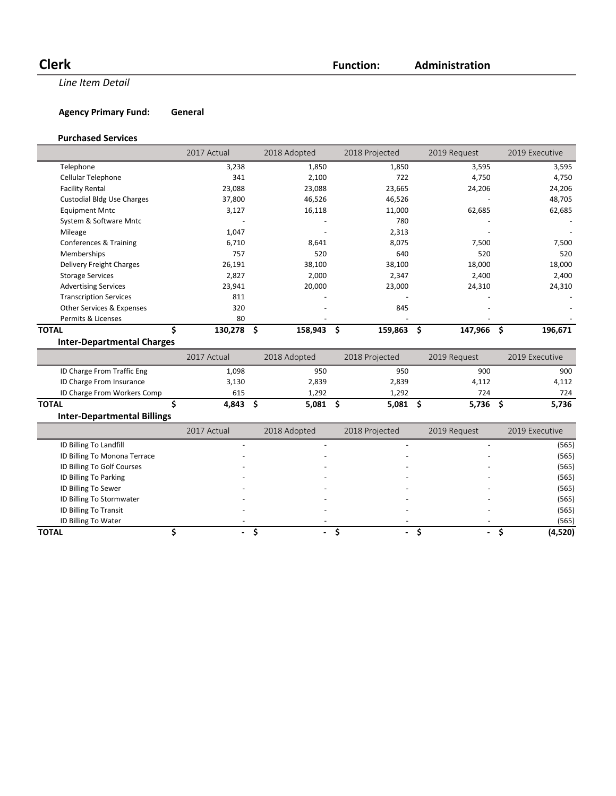**Clerk Function:**

**Line Item Detail** 

# **Agency Primary Fund: General**

### **Purchased Services**

|                                    | 2017 Actual     |    | 2018 Adopted |     | 2018 Projected |      | 2019 Request |     | 2019 Executive |
|------------------------------------|-----------------|----|--------------|-----|----------------|------|--------------|-----|----------------|
| Telephone                          | 3,238           |    | 1,850        |     | 1,850          |      | 3,595        |     | 3,595          |
| Cellular Telephone                 | 341             |    | 2,100        |     | 722            |      | 4,750        |     | 4,750          |
| <b>Facility Rental</b>             | 23,088          |    | 23,088       |     | 23,665         |      | 24,206       |     | 24,206         |
| <b>Custodial Bldg Use Charges</b>  | 37,800          |    | 46,526       |     | 46,526         |      |              |     | 48,705         |
| <b>Equipment Mntc</b>              | 3,127           |    | 16,118       |     | 11,000         |      | 62,685       |     | 62,685         |
| System & Software Mntc             |                 |    |              |     | 780            |      |              |     |                |
| Mileage                            | 1,047           |    |              |     | 2,313          |      |              |     |                |
| Conferences & Training             | 6,710           |    | 8,641        |     | 8,075          |      | 7,500        |     | 7,500          |
| Memberships                        | 757             |    | 520          |     | 640            |      | 520          |     | 520            |
| Delivery Freight Charges           | 26,191          |    | 38,100       |     | 38,100         |      | 18,000       |     | 18,000         |
| <b>Storage Services</b>            | 2,827           |    | 2,000        |     | 2,347          |      | 2,400        |     | 2,400          |
| <b>Advertising Services</b>        | 23,941          |    | 20,000       |     | 23,000         |      | 24,310       |     | 24,310         |
| <b>Transcription Services</b>      | 811             |    |              |     |                |      |              |     |                |
| Other Services & Expenses          | 320             |    |              |     | 845            |      |              |     |                |
| Permits & Licenses                 | 80              |    |              |     |                |      |              |     |                |
| <b>TOTAL</b>                       | Ś<br>130,278    | \$ | 158,943      | -\$ | 159,863        | \$   | 147,966      | Ś.  | 196,671        |
| <b>Inter-Departmental Charges</b>  |                 |    |              |     |                |      |              |     |                |
|                                    | 2017 Actual     |    | 2018 Adopted |     | 2018 Projected |      | 2019 Request |     | 2019 Executive |
| ID Charge From Traffic Eng         | 1,098           |    | 950          |     | 950            |      | 900          |     | 900            |
| ID Charge From Insurance           | 3,130           |    | 2,839        |     | 2,839          |      | 4,112        |     | 4,112          |
| ID Charge From Workers Comp        | 615             |    | 1,292        |     | 1,292          |      | 724          |     | 724            |
| <b>TOTAL</b>                       | \$<br>4,843     | Ŝ. | $5,081$ \$   |     | 5,081          | - \$ | 5,736        | \$. | 5,736          |
| <b>Inter-Departmental Billings</b> |                 |    |              |     |                |      |              |     |                |
|                                    | $2017.4 \pm .1$ |    |              |     | 201001         |      | 2010B        |     | $2010 F$       |

|                              | 2017 Actual | 2018 Adopted             | 2018 Projected | 2019 Request             |                          | 2019 Executive |
|------------------------------|-------------|--------------------------|----------------|--------------------------|--------------------------|----------------|
| ID Billing To Landfill       |             |                          |                | ۰                        |                          | (565)          |
| ID Billing To Monona Terrace |             |                          |                |                          |                          | (565)          |
| ID Billing To Golf Courses   |             |                          |                | -                        |                          | (565)          |
| ID Billing To Parking        |             |                          |                | ٠                        |                          | (565)          |
| ID Billing To Sewer          |             |                          |                | -                        |                          | (565)          |
| ID Billing To Stormwater     |             |                          |                | -                        |                          | (565)          |
| ID Billing To Transit        |             |                          |                | $\overline{\phantom{0}}$ |                          | (565)          |
| ID Billing To Water          |             |                          |                |                          |                          | (565)          |
| <b>TOTAL</b>                 |             | $\overline{\phantom{a}}$ | ۰.             | $\sim$                   | $\overline{\phantom{a}}$ | (4,520)        |